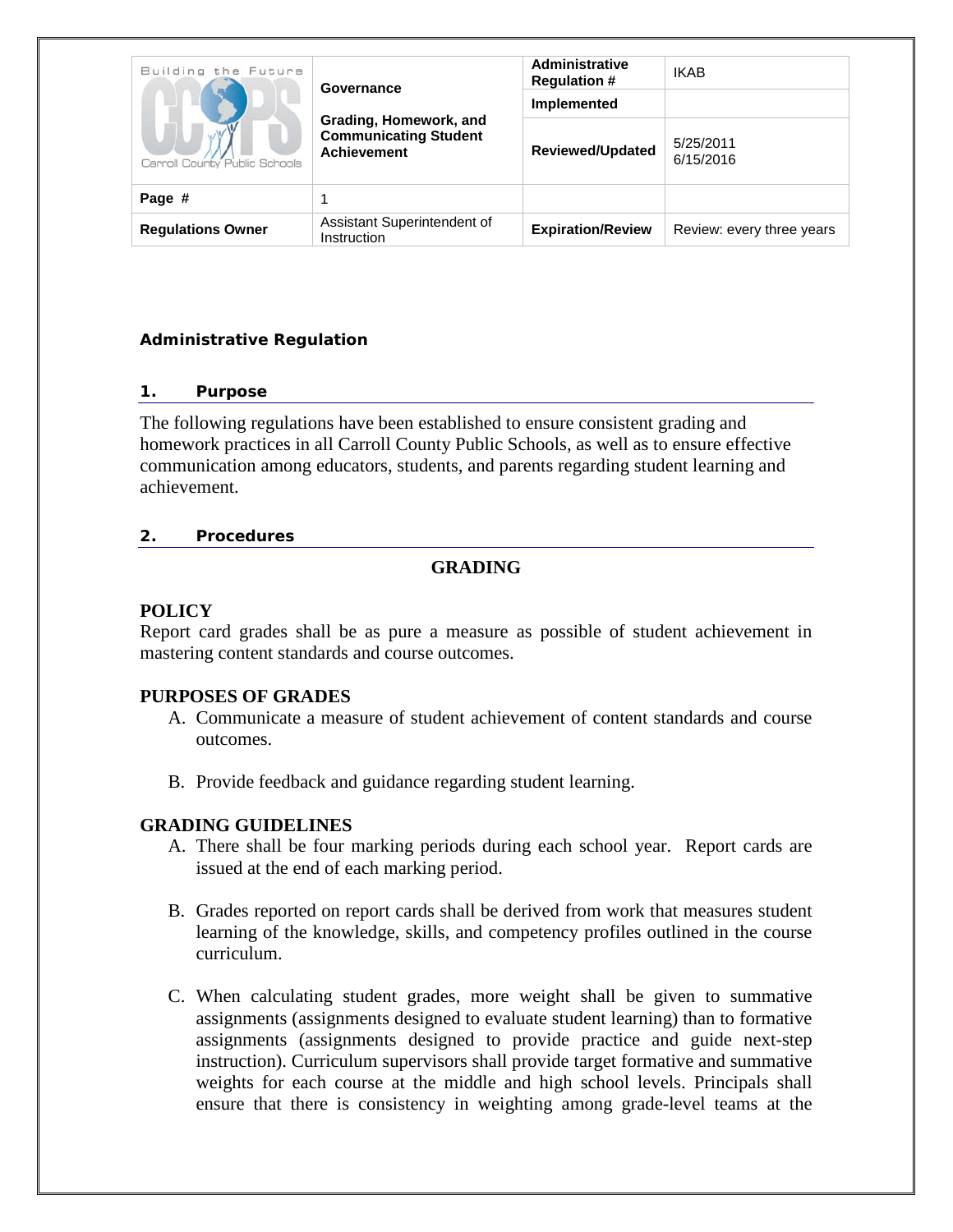| Building the Future<br>Carroll County Public Schools<br>Page # | Governance                                                                   | <b>Administrative</b><br><b>Regulation #</b><br>Implemented | <b>IKAB</b>               |
|----------------------------------------------------------------|------------------------------------------------------------------------------|-------------------------------------------------------------|---------------------------|
|                                                                | Grading, Homework, and<br><b>Communicating Student</b><br><b>Achievement</b> | <b>Reviewed/Updated</b>                                     | 5/25/2011<br>6/15/2016    |
|                                                                |                                                                              |                                                             |                           |
| <b>Regulations Owner</b>                                       | Assistant Superintendent of<br>Instruction                                   | <b>Expiration/Review</b>                                    | Review: every three years |

### **Administrative Regulation**

#### *1. Purpose*

The following regulations have been established to ensure consistent grading and homework practices in all Carroll County Public Schools, as well as to ensure effective communication among educators, students, and parents regarding student learning and achievement.

#### *2. Procedures*

### **GRADING**

### **POLICY**

Report card grades shall be as pure a measure as possible of student achievement in mastering content standards and course outcomes.

#### **PURPOSES OF GRADES**

- A. Communicate a measure of student achievement of content standards and course outcomes.
- B. Provide feedback and guidance regarding student learning.

#### **GRADING GUIDELINES**

- A. There shall be four marking periods during each school year. Report cards are issued at the end of each marking period.
- B. Grades reported on report cards shall be derived from work that measures student learning of the knowledge, skills, and competency profiles outlined in the course curriculum.
- C. When calculating student grades, more weight shall be given to summative assignments (assignments designed to evaluate student learning) than to formative assignments (assignments designed to provide practice and guide next-step instruction). Curriculum supervisors shall provide target formative and summative weights for each course at the middle and high school levels. Principals shall ensure that there is consistency in weighting among grade-level teams at the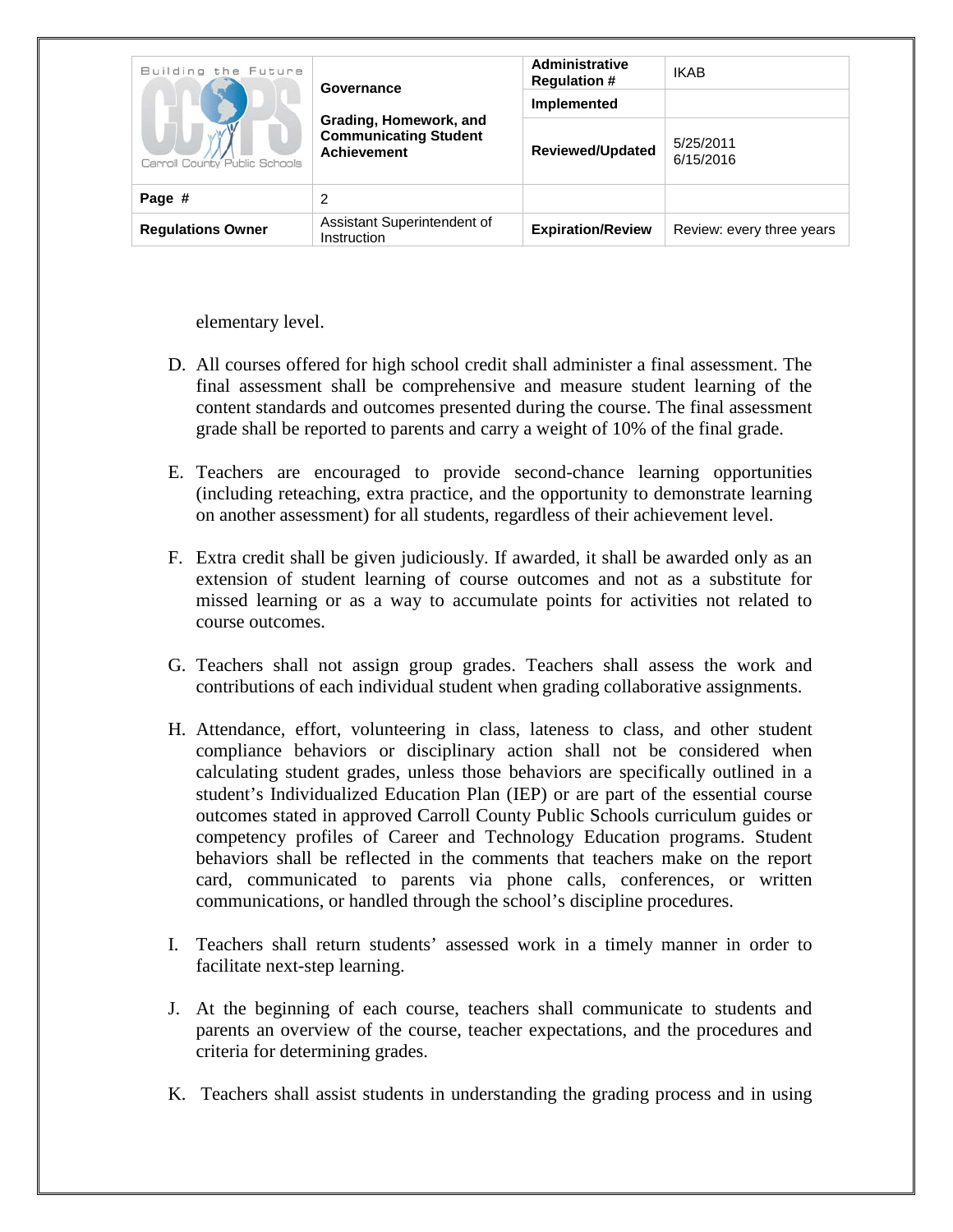| Building the Future<br>Carroll County Public Schools | <b>Administrative</b><br><b>Regulation #</b><br>Governance<br>Implemented<br>Grading, Homework, and<br><b>Communicating Student</b><br><b>Achievement</b> | <b>IKAB</b>              |                           |
|------------------------------------------------------|-----------------------------------------------------------------------------------------------------------------------------------------------------------|--------------------------|---------------------------|
|                                                      |                                                                                                                                                           | <b>Reviewed/Updated</b>  | 5/25/2011<br>6/15/2016    |
| Page #                                               | 2                                                                                                                                                         |                          |                           |
| <b>Regulations Owner</b>                             | Assistant Superintendent of<br>Instruction                                                                                                                | <b>Expiration/Review</b> | Review: every three years |

elementary level.

- D. All courses offered for high school credit shall administer a final assessment. The final assessment shall be comprehensive and measure student learning of the content standards and outcomes presented during the course. The final assessment grade shall be reported to parents and carry a weight of 10% of the final grade.
- E. Teachers are encouraged to provide second-chance learning opportunities (including reteaching, extra practice, and the opportunity to demonstrate learning on another assessment) for all students, regardless of their achievement level.
- F. Extra credit shall be given judiciously. If awarded, it shall be awarded only as an extension of student learning of course outcomes and not as a substitute for missed learning or as a way to accumulate points for activities not related to course outcomes.
- G. Teachers shall not assign group grades. Teachers shall assess the work and contributions of each individual student when grading collaborative assignments.
- H. Attendance, effort, volunteering in class, lateness to class, and other student compliance behaviors or disciplinary action shall not be considered when calculating student grades, unless those behaviors are specifically outlined in a student's Individualized Education Plan (IEP) or are part of the essential course outcomes stated in approved Carroll County Public Schools curriculum guides or competency profiles of Career and Technology Education programs. Student behaviors shall be reflected in the comments that teachers make on the report card, communicated to parents via phone calls, conferences, or written communications, or handled through the school's discipline procedures.
- I. Teachers shall return students' assessed work in a timely manner in order to facilitate next-step learning.
- J. At the beginning of each course, teachers shall communicate to students and parents an overview of the course, teacher expectations, and the procedures and criteria for determining grades.
- K. Teachers shall assist students in understanding the grading process and in using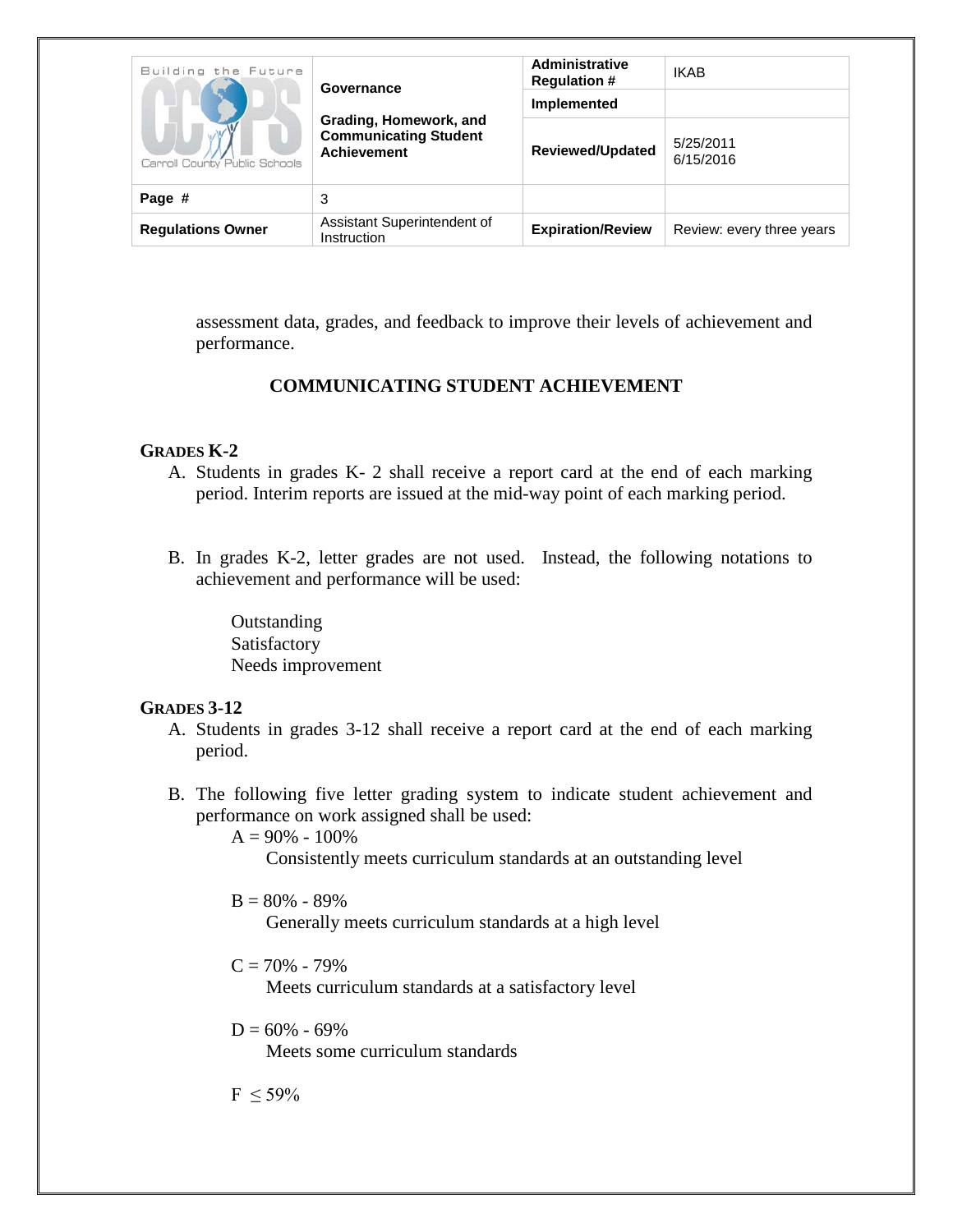| Building the Future<br>Carroll County Public Schools | Governance<br>Grading, Homework, and<br><b>Communicating Student</b><br><b>Achievement</b> | <b>Administrative</b><br><b>Regulation #</b><br>Implemented | <b>IKAB</b>               |
|------------------------------------------------------|--------------------------------------------------------------------------------------------|-------------------------------------------------------------|---------------------------|
|                                                      |                                                                                            | <b>Reviewed/Updated</b>                                     | 5/25/2011<br>6/15/2016    |
| Page #                                               | 3                                                                                          |                                                             |                           |
| <b>Regulations Owner</b>                             | Assistant Superintendent of<br>Instruction                                                 | <b>Expiration/Review</b>                                    | Review: every three years |

assessment data, grades, and feedback to improve their levels of achievement and performance.

# **COMMUNICATING STUDENT ACHIEVEMENT**

### **GRADES K-2**

- A. Students in grades K- 2 shall receive a report card at the end of each marking period. Interim reports are issued at the mid-way point of each marking period.
- B. In grades K-2, letter grades are not used. Instead, the following notations to achievement and performance will be used:

**Outstanding** Satisfactory Needs improvement

#### **GRADES 3-12**

- A. Students in grades 3-12 shall receive a report card at the end of each marking period.
- B. The following five letter grading system to indicate student achievement and performance on work assigned shall be used:

 $A = 90\% - 100\%$ 

Consistently meets curriculum standards at an outstanding level

 $B = 80\% - 89\%$ 

Generally meets curriculum standards at a high level

 $C = 70\% - 79\%$ 

Meets curriculum standards at a satisfactory level

 $D = 60\% - 69\%$ 

Meets some curriculum standards

 $F < 59\%$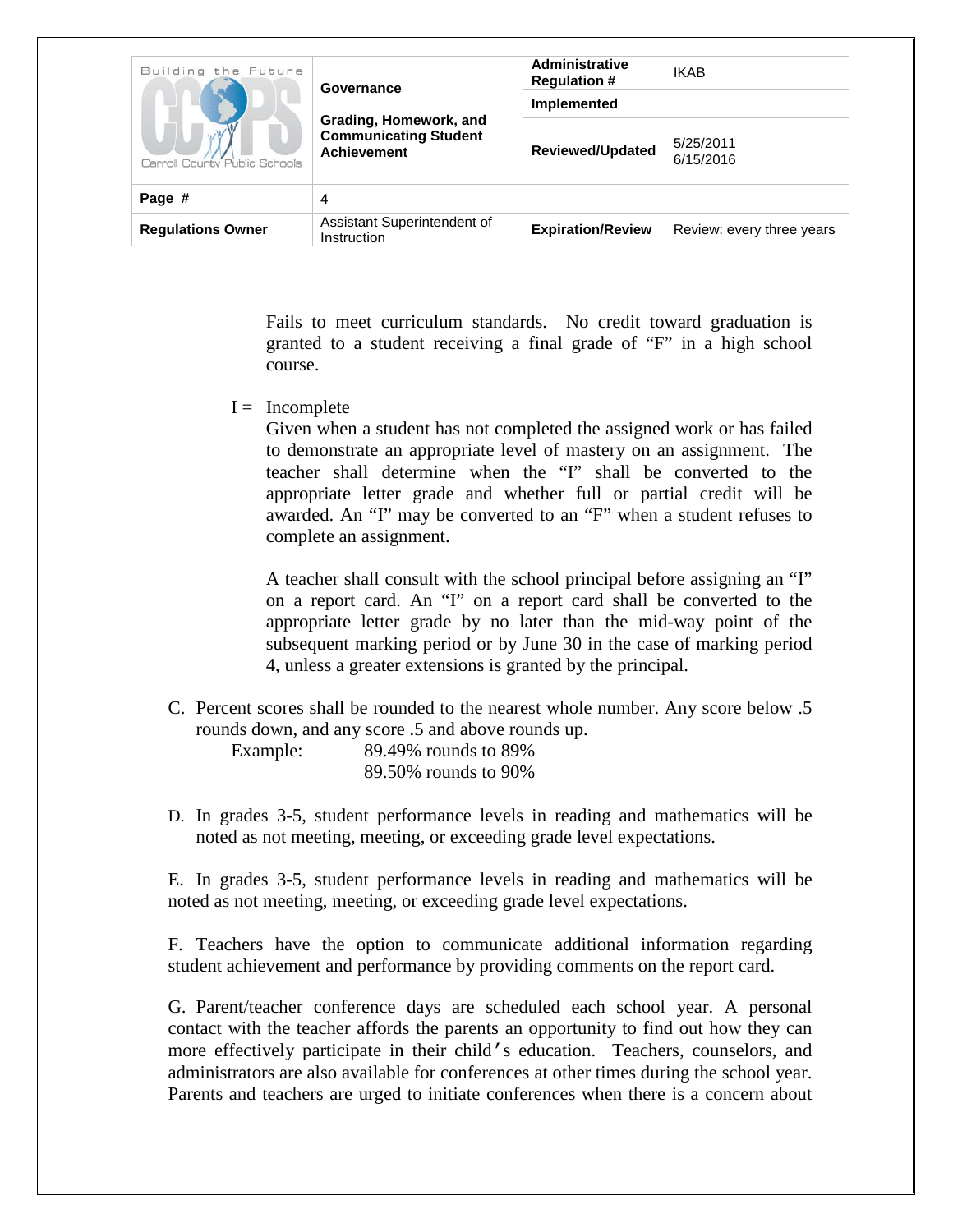| Building the Future<br>Carroll County Public Schools | Governance                                                                   | <b>Administrative</b><br><b>Regulation #</b><br>Implemented | <b>IKAB</b>               |
|------------------------------------------------------|------------------------------------------------------------------------------|-------------------------------------------------------------|---------------------------|
|                                                      | Grading, Homework, and<br><b>Communicating Student</b><br><b>Achievement</b> | <b>Reviewed/Updated</b>                                     | 5/25/2011<br>6/15/2016    |
| Page #                                               | 4                                                                            |                                                             |                           |
| <b>Regulations Owner</b>                             | Assistant Superintendent of<br>Instruction                                   | <b>Expiration/Review</b>                                    | Review: every three years |

Fails to meet curriculum standards. No credit toward graduation is granted to a student receiving a final grade of "F" in a high school course.

 $I = Incomplete$ 

Given when a student has not completed the assigned work or has failed to demonstrate an appropriate level of mastery on an assignment. The teacher shall determine when the "I" shall be converted to the appropriate letter grade and whether full or partial credit will be awarded. An "I" may be converted to an "F" when a student refuses to complete an assignment.

A teacher shall consult with the school principal before assigning an "I" on a report card. An "I" on a report card shall be converted to the appropriate letter grade by no later than the mid-way point of the subsequent marking period or by June 30 in the case of marking period 4, unless a greater extensions is granted by the principal.

C. Percent scores shall be rounded to the nearest whole number. Any score below .5 rounds down, and any score .5 and above rounds up.

Example: 89.49% rounds to 89% 89.50% rounds to 90%

D. In grades 3-5, student performance levels in reading and mathematics will be noted as not meeting, meeting, or exceeding grade level expectations.

E. In grades 3-5, student performance levels in reading and mathematics will be noted as not meeting, meeting, or exceeding grade level expectations.

F. Teachers have the option to communicate additional information regarding student achievement and performance by providing comments on the report card.

G. Parent/teacher conference days are scheduled each school year. A personal contact with the teacher affords the parents an opportunity to find out how they can more effectively participate in their child's education. Teachers, counselors, and administrators are also available for conferences at other times during the school year. Parents and teachers are urged to initiate conferences when there is a concern about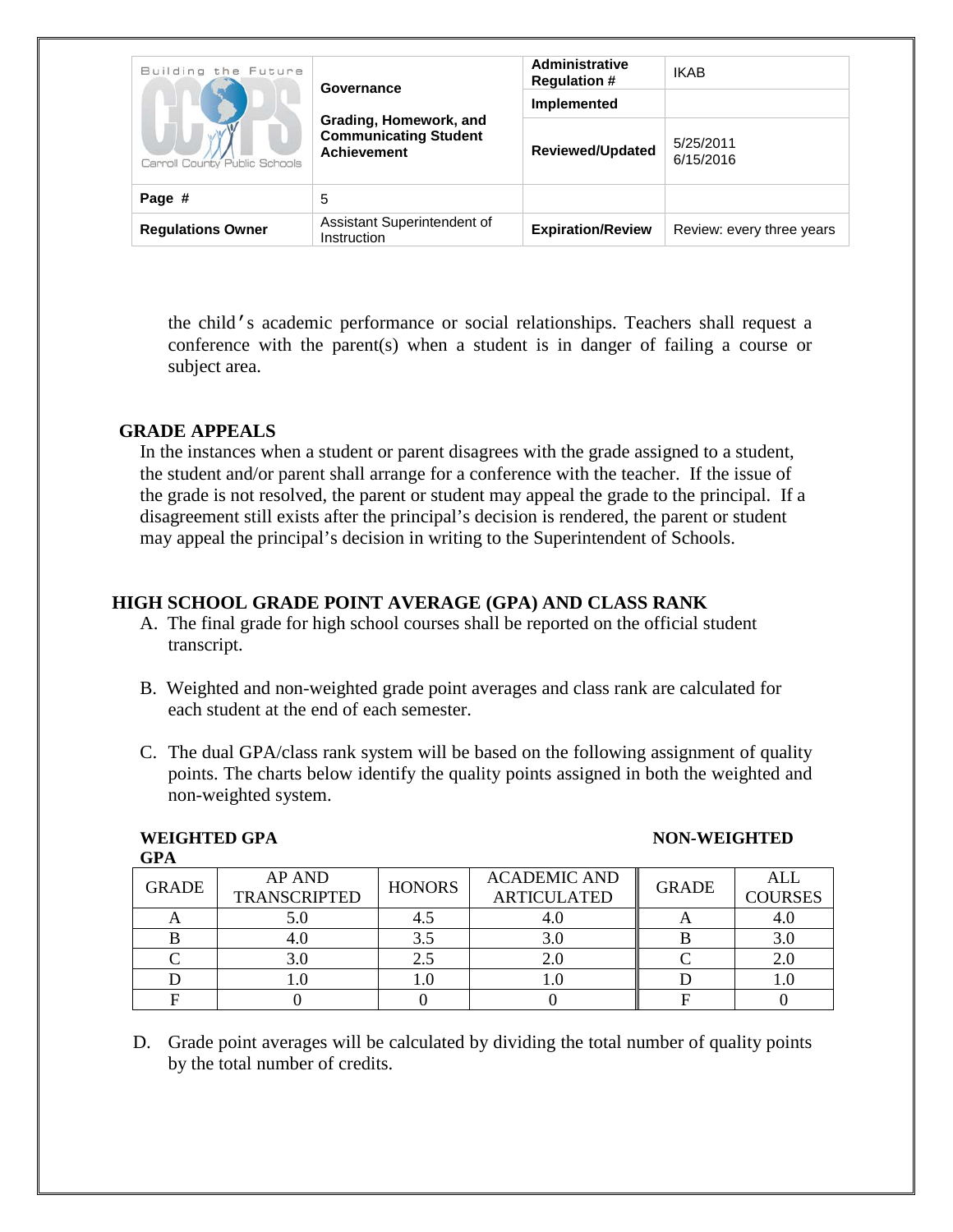| Building the Future<br>Carroll County Public Schools | Governance<br>Grading, Homework, and<br><b>Communicating Student</b><br><b>Achievement</b> | Administrative<br><b>Regulation #</b><br>Implemented | <b>IKAB</b>               |
|------------------------------------------------------|--------------------------------------------------------------------------------------------|------------------------------------------------------|---------------------------|
|                                                      |                                                                                            | <b>Reviewed/Updated</b>                              | 5/25/2011<br>6/15/2016    |
| Page #                                               | 5                                                                                          |                                                      |                           |
| <b>Requlations Owner</b>                             | Assistant Superintendent of<br>Instruction                                                 | <b>Expiration/Review</b>                             | Review: every three years |

the child's academic performance or social relationships. Teachers shall request a conference with the parent(s) when a student is in danger of failing a course or subject area.

### **GRADE APPEALS**

**GPA**

In the instances when a student or parent disagrees with the grade assigned to a student, the student and/or parent shall arrange for a conference with the teacher. If the issue of the grade is not resolved, the parent or student may appeal the grade to the principal. If a disagreement still exists after the principal's decision is rendered, the parent or student may appeal the principal's decision in writing to the Superintendent of Schools.

# **HIGH SCHOOL GRADE POINT AVERAGE (GPA) AND CLASS RANK**

- A. The final grade for high school courses shall be reported on the official student transcript.
- B. Weighted and non-weighted grade point averages and class rank are calculated for each student at the end of each semester.
- C. The dual GPA/class rank system will be based on the following assignment of quality points. The charts below identify the quality points assigned in both the weighted and non-weighted system.

#### **WEIGHTED GPA NON-WEIGHTED**

| .            |                                      |               |                                           |              |                              |
|--------------|--------------------------------------|---------------|-------------------------------------------|--------------|------------------------------|
| <b>GRADE</b> | <b>AP AND</b><br><b>TRANSCRIPTED</b> | <b>HONORS</b> | <b>ACADEMIC AND</b><br><b>ARTICULATED</b> | <b>GRADE</b> | <b>ALL</b><br><b>COURSES</b> |
|              |                                      |               |                                           |              |                              |
|              |                                      | 3.5           |                                           |              |                              |
|              |                                      |               |                                           |              |                              |
|              |                                      |               |                                           |              |                              |
|              |                                      |               |                                           |              |                              |

D. Grade point averages will be calculated by dividing the total number of quality points by the total number of credits.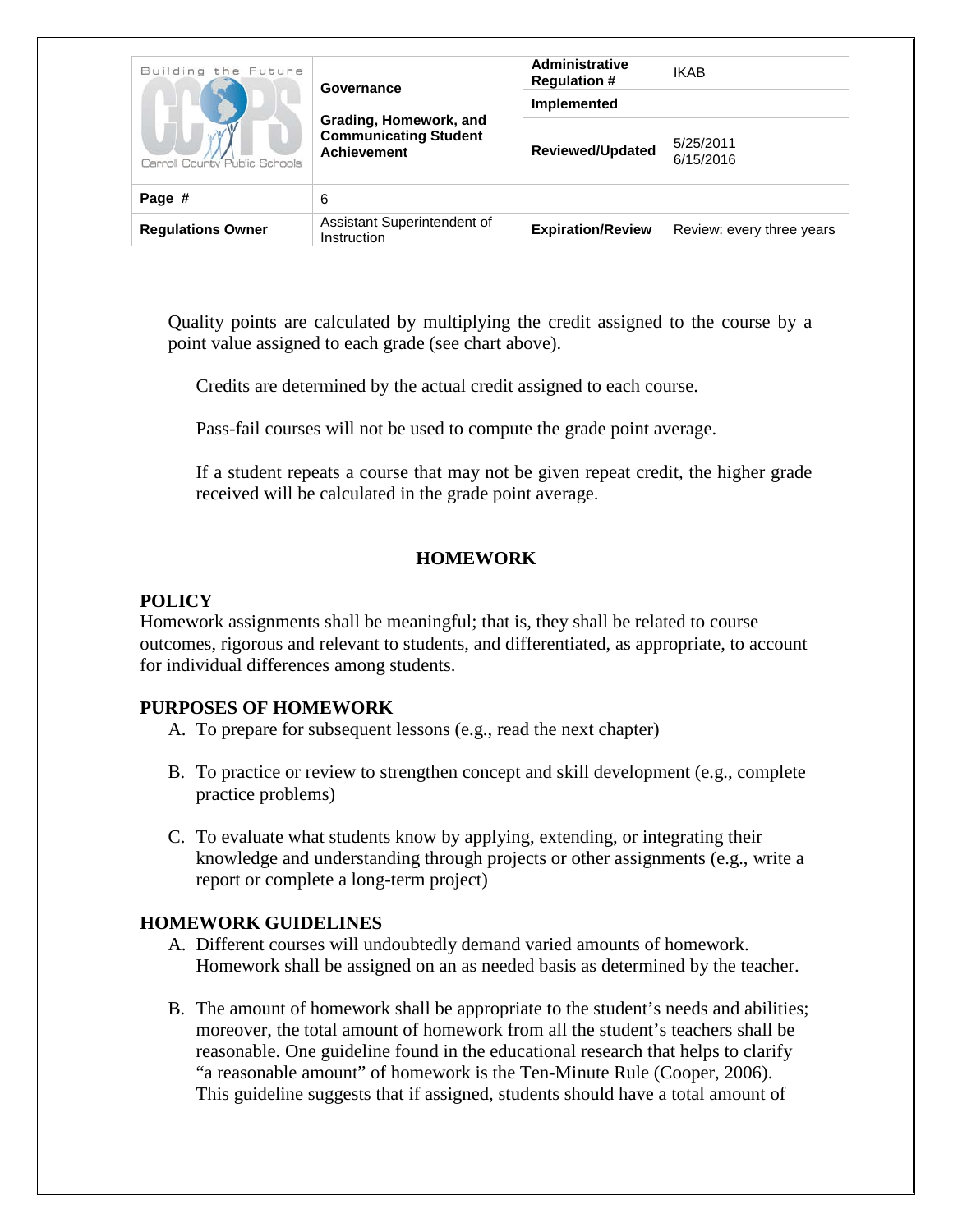| Building the Future<br>Carroll County Public Schools | Governance                                                                   | <b>Administrative</b><br><b>Regulation #</b><br>Implemented | <b>IKAB</b>               |
|------------------------------------------------------|------------------------------------------------------------------------------|-------------------------------------------------------------|---------------------------|
|                                                      | Grading, Homework, and<br><b>Communicating Student</b><br><b>Achievement</b> | <b>Reviewed/Updated</b>                                     | 5/25/2011<br>6/15/2016    |
| Page #                                               | 6                                                                            |                                                             |                           |
| <b>Regulations Owner</b>                             | Assistant Superintendent of<br>Instruction                                   | <b>Expiration/Review</b>                                    | Review: every three years |

Quality points are calculated by multiplying the credit assigned to the course by a point value assigned to each grade (see chart above).

Credits are determined by the actual credit assigned to each course.

Pass-fail courses will not be used to compute the grade point average.

If a student repeats a course that may not be given repeat credit, the higher grade received will be calculated in the grade point average.

## **HOMEWORK**

## **POLICY**

Homework assignments shall be meaningful; that is, they shall be related to course outcomes, rigorous and relevant to students, and differentiated, as appropriate, to account for individual differences among students.

## **PURPOSES OF HOMEWORK**

- A. To prepare for subsequent lessons (e.g., read the next chapter)
- B. To practice or review to strengthen concept and skill development (e.g., complete practice problems)
- C. To evaluate what students know by applying, extending, or integrating their knowledge and understanding through projects or other assignments (e.g., write a report or complete a long-term project)

## **HOMEWORK GUIDELINES**

- A. Different courses will undoubtedly demand varied amounts of homework. Homework shall be assigned on an as needed basis as determined by the teacher.
- B. The amount of homework shall be appropriate to the student's needs and abilities; moreover, the total amount of homework from all the student's teachers shall be reasonable. One guideline found in the educational research that helps to clarify "a reasonable amount" of homework is the Ten-Minute Rule (Cooper, 2006). This guideline suggests that if assigned, students should have a total amount of